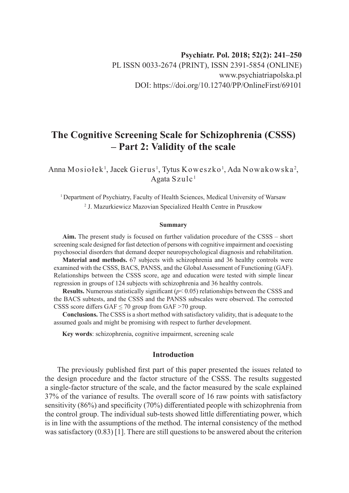# **The Cognitive Screening Scale for Schizophrenia (CSSS) – Part 2: Validity of the scale**

Anna Mosiołek<sup>1</sup>, Jacek Gierus<sup>1</sup>, Tytus Koweszko<sup>1</sup>, Ada Nowakowska<sup>2</sup>, Agata Szul $c<sup>1</sup>$ 

<sup>1</sup> Department of Psychiatry, Faculty of Health Sciences, Medical University of Warsaw 2 J. Mazurkiewicz Mazovian Specialized Health Centre in Pruszkow

#### **Summary**

**Aim.** The present study is focused on further validation procedure of the CSSS – short screening scale designed for fast detection of persons with cognitive impairment and coexisting psychosocial disorders that demand deeper neuropsychological diagnosis and rehabilitation.

**Material and methods.** 67 subjects with schizophrenia and 36 healthy controls were examined with the CSSS, BACS, PANSS, and the Global Assessment of Functioning (GAF). Relationships between the CSSS score, age and education were tested with simple linear regression in groups of 124 subjects with schizophrenia and 36 healthy controls.

**Results.** Numerous statistically significant (*p*< 0.05) relationships between the CSSS and the BACS subtests, and the CSSS and the PANSS subscales were observed. The corrected CSSS score differs GAF  $\leq$  70 group from GAF  $>$  70 group.

**Conclusions.** The CSSS is a short method with satisfactory validity, that is adequate to the assumed goals and might be promising with respect to further development.

**Key words**: schizophrenia, cognitive impairment, screening scale

## **Introduction**

The previously published first part of this paper presented the issues related to the design procedure and the factor structure of the CSSS. The results suggested a single-factor structure of the scale, and the factor measured by the scale explained 37% of the variance of results. The overall score of 16 raw points with satisfactory sensitivity (86%) and specificity (70%) differentiated people with schizophrenia from the control group. The individual sub-tests showed little differentiating power, which is in line with the assumptions of the method. The internal consistency of the method was satisfactory (0.83) [1]. There are still questions to be answered about the criterion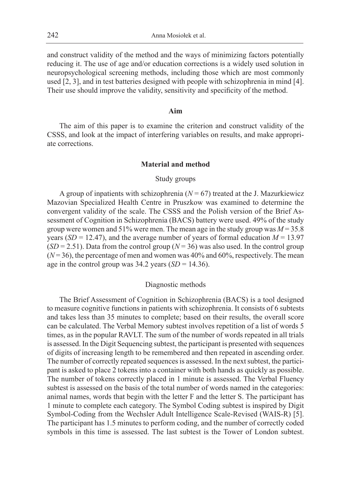and construct validity of the method and the ways of minimizing factors potentially reducing it. The use of age and/or education corrections is a widely used solution in neuropsychological screening methods, including those which are most commonly used [2, 3], and in test batteries designed with people with schizophrenia in mind [4]. Their use should improve the validity, sensitivity and specificity of the method.

#### **Aim**

The aim of this paper is to examine the criterion and construct validity of the CSSS, and look at the impact of interfering variables on results, and make appropriate corrections.

#### **Material and method**

#### Study groups

A group of inpatients with schizophrenia  $(N = 67)$  treated at the J. Mazurkiewicz Mazovian Specialized Health Centre in Pruszkow was examined to determine the convergent validity of the scale. The CSSS and the Polish version of the Brief Assessment of Cognition in Schizophrenia (BACS) battery were used. 49% of the study group were women and 51% were men. The mean age in the study group was  $M = 35.8$ years (*SD* = 12.47), and the average number of years of formal education  $M = 13.97$  $(SD = 2.51)$ . Data from the control group ( $N = 36$ ) was also used. In the control group  $(N=36)$ , the percentage of men and women was  $40\%$  and  $60\%$ , respectively. The mean age in the control group was  $34.2$  years (*SD* = 14.36).

#### Diagnostic methods

The Brief Assessment of Cognition in Schizophrenia (BACS) is a tool designed to measure cognitive functions in patients with schizophrenia. It consists of 6 subtests and takes less than 35 minutes to complete; based on their results, the overall score can be calculated. The Verbal Memory subtest involves repetition of a list of words 5 times, as in the popular RAVLT. The sum of the number of words repeated in all trials is assessed. In the Digit Sequencing subtest, the participant is presented with sequences of digits of increasing length to be remembered and then repeated in ascending order. The number of correctly repeated sequences is assessed. In the next subtest, the participant is asked to place 2 tokens into a container with both hands as quickly as possible. The number of tokens correctly placed in 1 minute is assessed. The Verbal Fluency subtest is assessed on the basis of the total number of words named in the categories: animal names, words that begin with the letter F and the letter S. The participant has 1 minute to complete each category. The Symbol Coding subtest is inspired by Digit Symbol-Coding from the Wechsler Adult Intelligence Scale-Revised (WAIS-R) [5]. The participant has 1.5 minutes to perform coding, and the number of correctly coded symbols in this time is assessed. The last subtest is the Tower of London subtest.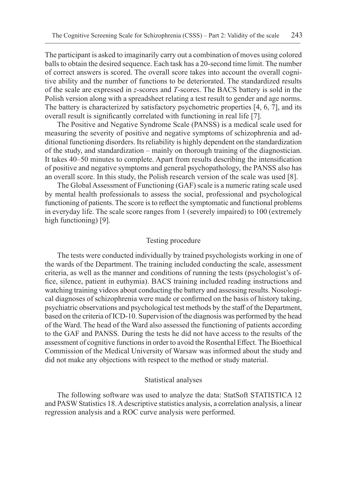The participant is asked to imaginarily carry out a combination of moves using colored balls to obtain the desired sequence. Each task has a 20-second time limit. The number of correct answers is scored. The overall score takes into account the overall cognitive ability and the number of functions to be deteriorated. The standardized results of the scale are expressed in *z*-scores and *T*-scores. The BACS battery is sold in the Polish version along with a spreadsheet relating a test result to gender and age norms. The battery is characterized by satisfactory psychometric properties [4, 6, 7], and its overall result is significantly correlated with functioning in real life [7].

The Positive and Negative Syndrome Scale (PANSS) is a medical scale used for measuring the severity of positive and negative symptoms of schizophrenia and additional functioning disorders. Its reliability is highly dependent on the standardization of the study, and standardization – mainly on thorough training of the diagnostician. It takes 40–50 minutes to complete. Apart from results describing the intensification of positive and negative symptoms and general psychopathology, the PANSS also has an overall score. In this study, the Polish research version of the scale was used [8].

The Global Assessment of Functioning (GAF) scale is a numeric rating scale used by mental health professionals to assess the social, professional and psychological functioning of patients. The score is to reflect the symptomatic and functional problems in everyday life. The scale score ranges from 1 (severely impaired) to 100 (extremely high functioning) [9].

#### Testing procedure

The tests were conducted individually by trained psychologists working in one of the wards of the Department. The training included conducting the scale, assessment criteria, as well as the manner and conditions of running the tests (psychologist's office, silence, patient in euthymia). BACS training included reading instructions and watching training videos about conducting the battery and assessing results. Nosological diagnoses of schizophrenia were made or confirmed on the basis of history taking, psychiatric observations and psychological test methods by the staff of the Department, based on the criteria of ICD-10. Supervision of the diagnosis was performed by the head of the Ward. The head of the Ward also assessed the functioning of patients according to the GAF and PANSS. During the tests he did not have access to the results of the assessment of cognitive functions in order to avoid the Rosenthal Effect. The Bioethical Commission of the Medical University of Warsaw was informed about the study and did not make any objections with respect to the method or study material.

#### Statistical analyses

The following software was used to analyze the data: StatSoft STATISTICA 12 and PASW Statistics 18. A descriptive statistics analysis, a correlation analysis, a linear regression analysis and a ROC curve analysis were performed.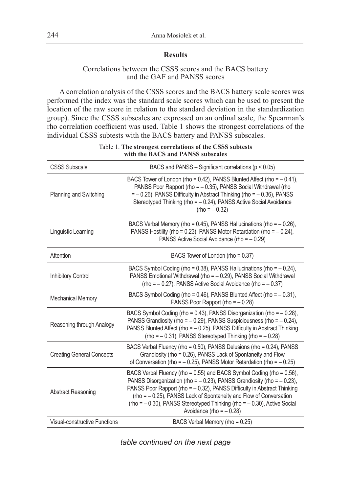# **Results**

## Correlations between the CSSS scores and the BACS battery and the GAF and PANSS scores

A correlation analysis of the CSSS scores and the BACS battery scale scores was performed (the index was the standard scale scores which can be used to present the location of the raw score in relation to the standard deviation in the standardization group). Since the CSSS subscales are expressed on an ordinal scale, the Spearman's rho correlation coefficient was used. Table 1 shows the strongest correlations of the individual CSSS subtests with the BACS battery and PANSS subscales.

| <b>CSSS Subscale</b>             | BACS and PANSS - Significant correlations ( $p < 0.05$ )                                                                                                                                                                                                                                                                                                                                                            |  |  |  |  |  |  |  |
|----------------------------------|---------------------------------------------------------------------------------------------------------------------------------------------------------------------------------------------------------------------------------------------------------------------------------------------------------------------------------------------------------------------------------------------------------------------|--|--|--|--|--|--|--|
| Planning and Switching           | BACS Tower of London (rho = 0.42), PANSS Blunted Affect (rho = - 0.41),<br>PANSS Poor Rapport (rho = - 0.35), PANSS Social Withdrawal (rho<br>$=$ - 0.26), PANSS Difficulty in Abstract Thinking (rho = $-$ 0.36), PANSS<br>Stereotyped Thinking (rho = - 0.24), PANSS Active Social Avoidance<br>$(rho = -0.32)$                                                                                                   |  |  |  |  |  |  |  |
| Linguistic Learning              | BACS Verbal Memory (rho = $0.45$ ), PANSS Hallucinations (rho = $-0.26$ ),<br>PANSS Hostility (rho = $0.23$ ), PANSS Motor Retardation (rho = $-0.24$ ),<br>PANSS Active Social Avoidance (rho = - 0.29)                                                                                                                                                                                                            |  |  |  |  |  |  |  |
| Attention                        | BACS Tower of London (rho = 0.37)                                                                                                                                                                                                                                                                                                                                                                                   |  |  |  |  |  |  |  |
| <b>Inhibitory Control</b>        | BACS Symbol Coding (rho = $0.38$ ), PANSS Hallucinations (rho = $-0.24$ ),<br>PANSS Emotional Withdrawal (rho = - 0.29), PANSS Social Withdrawal<br>(rho = - 0.27), PANSS Active Social Avoidance (rho = - 0.37)                                                                                                                                                                                                    |  |  |  |  |  |  |  |
| <b>Mechanical Memory</b>         | BACS Symbol Coding (rho = 0.46), PANSS Blunted Affect (rho = - 0.31),<br>PANSS Poor Rapport (rho = $-0.28$ )                                                                                                                                                                                                                                                                                                        |  |  |  |  |  |  |  |
| Reasoning through Analogy        | BACS Symbol Coding (rho = 0.43), PANSS Disorganization (rho = - 0.28),<br>PANSS Grandiosity (rho = $-0.29$ ), PANSS Suspiciousness (rho = $-0.24$ ),<br>PANSS Blunted Affect (rho = - 0.25), PANSS Difficulty in Abstract Thinking<br>(rho = $-$ 0.31), PANSS Stereotyped Thinking (rho = $-$ 0.28)                                                                                                                 |  |  |  |  |  |  |  |
| <b>Creating General Concepts</b> | BACS Verbal Fluency (rho = 0.50), PANSS Delusions (rho = 0.24), PANSS<br>Grandiosity (rho = 0.26), PANSS Lack of Spontaneity and Flow<br>of Conversation (rho = $-$ 0.25), PANSS Motor Retardation (rho = $-$ 0.25)                                                                                                                                                                                                 |  |  |  |  |  |  |  |
| Abstract Reasoning               | BACS Verbal Fluency (rho = 0.55) and BACS Symbol Coding (rho = 0.56),<br>PANSS Disorganization (rho = $-$ 0.23), PANSS Grandiosity (rho = $-$ 0.23),<br>PANSS Poor Rapport (rho = - 0.32), PANSS Difficulty in Abstract Thinking<br>(rho = - 0.25), PANSS Lack of Spontaneity and Flow of Conversation<br>$rho = -0.30$ ), PANSS Stereotyped Thinking (rho = $-0.30$ ), Active Social<br>Avoidance (rho = $-0.28$ ) |  |  |  |  |  |  |  |
| Visual-constructive Functions    | BACS Verbal Memory (rho = 0.25)                                                                                                                                                                                                                                                                                                                                                                                     |  |  |  |  |  |  |  |

Table 1. **The strongest correlations of the CSSS subtests with the BACS and PANSS subscales**

*table continued on the next page*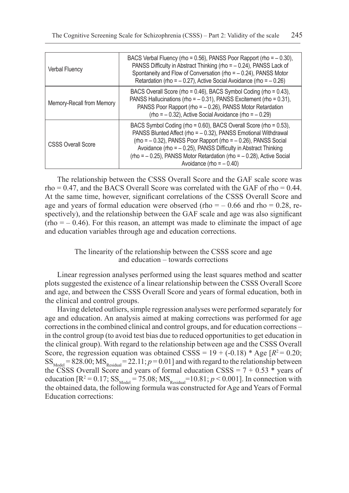| <b>Verbal Fluency</b>     | BACS Verbal Fluency (rho = $0.56$ ), PANSS Poor Rapport (rho = $-0.30$ ),<br>PANSS Difficulty in Abstract Thinking (rho = - 0.24), PANSS Lack of<br>Spontaneity and Flow of Conversation (rho = - 0.24), PANSS Motor<br>Retardation (rho = $-$ 0.27), Active Social Avoidance (rho = $-$ 0.26)                                                                                           |  |  |  |  |  |
|---------------------------|------------------------------------------------------------------------------------------------------------------------------------------------------------------------------------------------------------------------------------------------------------------------------------------------------------------------------------------------------------------------------------------|--|--|--|--|--|
| Memory-Recall from Memory | BACS Overall Score (rho = 0.46), BACS Symbol Coding (rho = 0.43),<br>PANSS Hallucinations (rho = - 0.31), PANSS Excitement (rho = 0.31),<br>PANSS Poor Rapport (rho = - 0.26), PANSS Motor Retardation<br>$rho = -0.32$ ), Active Social Avoidance (rho = $-0.29$ )                                                                                                                      |  |  |  |  |  |
| <b>CSSS Overall Score</b> | BACS Symbol Coding (rho = 0.60), BACS Overall Score (rho = 0.53),<br>PANSS Blunted Affect (rho = - 0.32), PANSS Emotional Withdrawal<br>$rho = -0.32$ ), PANSS Poor Rapport (rho = $-0.26$ ), PANSS Social<br>Avoidance (rho = $-$ 0.25), PANSS Difficulty in Abstract Thinking<br>$rho = -0.25$ , PANSS Motor Retardation (rho = $-0.28$ ), Active Social<br>Avoidance (rho = $-0.40$ ) |  |  |  |  |  |

The relationship between the CSSS Overall Score and the GAF scale score was  $rho = 0.47$ , and the BACS Overall Score was correlated with the GAF of rho = 0.44. At the same time, however, significant correlations of the CSSS Overall Score and age and years of formal education were observed (rho  $=$   $-$  0.66 and rho  $=$  0.28, respectively), and the relationship between the GAF scale and age was also significant  $(rho = -0.46)$ . For this reason, an attempt was made to eliminate the impact of age and education variables through age and education corrections.

## The linearity of the relationship between the CSSS score and age and education – towards corrections

Linear regression analyses performed using the least squares method and scatter plots suggested the existence of a linear relationship between the CSSS Overall Score and age, and between the CSSS Overall Score and years of formal education, both in the clinical and control groups.

Having deleted outliers, simple regression analyses were performed separately for age and education. An analysis aimed at making corrections was performed for age corrections in the combined clinical and control groups, and for education corrections – in the control group (to avoid test bias due to reduced opportunities to get education in the clinical group). With regard to the relationship between age and the CSSS Overall Score, the regression equation was obtained CSSS =  $19 + (-0.18)$  \* Age  $[R^2 = 0.20;$  $SS<sub>Model</sub> = 828.00; MS<sub>Residual</sub> = 22.11; p = 0.01$  and with regard to the relationship between the CSSS Overall Score and years of formal education CSSS =  $7 + 0.53$  \* years of education  $[R^2 = 0.17; SS_{\text{Model}} = 75.08; MS_{\text{Residual}} = 10.81; p < 0.001]$ . In connection with the obtained data, the following formula was constructed for Age and Years of Formal Education corrections: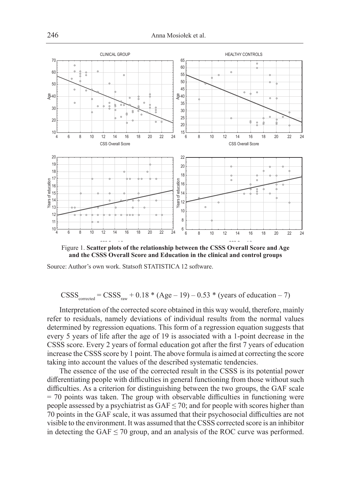

Figure 1. Scatter plots of the relationship between the CSSS Overall Score and Age **and the CSSS Overall Score and Education in the clinical and control groups**

Source: Author's own work. Statsoft STATISTICA 12 software.

$$
CSS_{\text{corrected}} = CSSS_{\text{raw}} + 0.18 * (Age - 19) - 0.53 * (years of education - 7)
$$

Interpretation of the corrected score obtained in this way would, therefore, mainly refer to residuals, namely deviations of individual results from the normal values determined by regression equations. This form of a regression equation suggests that every 5 years of life after the age of 19 is associated with a 1-point decrease in the CSSS score. Every 2 years of formal education got after the first 7 years of education increase the CSSS score by 1 point. The above formula is aimed at correcting the score taking into account the values of the described systematic tendencies.

The essence of the use of the corrected result in the CSSS is its potential power differentiating people with difficulties in general functioning from those without such difficulties. As a criterion for distinguishing between the two groups, the GAF scale  $= 70$  points was taken. The group with observable difficulties in functioning were people assessed by a psychiatrist as  $GAF \le 70$ ; and for people with scores higher than 70 points in the GAF scale, it was assumed that their psychosocial difficulties are not visible to the environment. It was assumed that the CSSS corrected score is an inhibitor in detecting the GAF  $\leq$  70 group, and an analysis of the ROC curve was performed.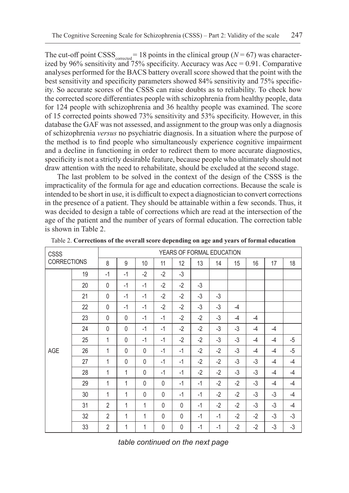The cut-off point CSSS<sub>corrected</sub> = 18 points in the clinical group ( $N = 67$ ) was characterized by  $96\%$  sensitivity and 75% specificity. Accuracy was Acc = 0.91. Comparative analyses performed for the BACS battery overall score showed that the point with the best sensitivity and specificity parameters showed 84% sensitivity and 75% specificity. So accurate scores of the CSSS can raise doubts as to reliability. To check how the corrected score differentiates people with schizophrenia from healthy people, data for 124 people with schizophrenia and 36 healthy people was examined. The score of 15 corrected points showed 73% sensitivity and 53% specificity. However, in this database the GAF was not assessed, and assignment to the group was only a diagnosis of schizophrenia *versus* no psychiatric diagnosis. In a situation where the purpose of the method is to find people who simultaneously experience cognitive impairment and a decline in functioning in order to redirect them to more accurate diagnostics, specificity is not a strictly desirable feature, because people who ultimately should not draw attention with the need to rehabilitate, should be excluded at the second stage.

The last problem to be solved in the context of the design of the CSSS is the impracticality of the formula for age and education corrections. Because the scale is intended to be short in use, it is difficult to expect a diagnostician to convert corrections in the presence of a patient. They should be attainable within a few seconds. Thus, it was decided to design a table of corrections which are read at the intersection of the age of the patient and the number of years of formal education. The correction table is shown in Table 2.

| <b>CSSS</b>        |    | YEARS OF FORMAL EDUCATION |              |              |              |              |      |      |      |      |      |      |
|--------------------|----|---------------------------|--------------|--------------|--------------|--------------|------|------|------|------|------|------|
| <b>CORRECTIONS</b> |    | 8                         | 9            | 10           | 11           | 12           | 13   | 14   | 15   | 16   | 17   | 18   |
| AGE                | 19 | $-1$                      | $-1$         | $-2$         | $-2$         | $-3$         |      |      |      |      |      |      |
|                    | 20 | 0                         | $-1$         | $-1$         | $-2$         | $-2$         | $-3$ |      |      |      |      |      |
|                    | 21 | 0                         | $-1$         | $-1$         | $-2$         | $-2$         | $-3$ | $-3$ |      |      |      |      |
|                    | 22 | 0                         | $-1$         | $-1$         | $-2$         | $-2$         | $-3$ | $-3$ | $-4$ |      |      |      |
|                    | 23 | 0                         | $\mathbf{0}$ | $-1$         | $-1$         | $-2$         | $-2$ | $-3$ | $-4$ | -4   |      |      |
|                    | 24 | 0                         | $\mathbf{0}$ | $-1$         | $-1$         | $-2$         | $-2$ | $-3$ | $-3$ | $-4$ | $-4$ |      |
|                    | 25 | 1                         | $\mathbf{0}$ | $-1$         | $-1$         | $-2$         | $-2$ | $-3$ | -3   | $-4$ | $-4$ | $-5$ |
|                    | 26 | 1                         | $\mathbf{0}$ | $\mathbf{0}$ | $-1$         | $-1$         | $-2$ | $-2$ | -3   | $-4$ | -4   | $-5$ |
|                    | 27 | 1                         | $\mathbf{0}$ | $\mathbf 0$  | $-1$         | $-1$         | $-2$ | $-2$ | $-3$ | -3   | $-4$ | $-4$ |
|                    | 28 | 1                         | 1            | $\mathbf{0}$ | $-1$         | $-1$         | $-2$ | $-2$ | $-3$ | $-3$ | $-4$ | $-4$ |
|                    | 29 | 1                         | 1            | $\mathbf 0$  | $\mathbf{0}$ | $-1$         | $-1$ | $-2$ | $-2$ | $-3$ | $-4$ | $-4$ |
|                    | 30 | 1                         | 1            | $\mathbf{0}$ | $\mathbf{0}$ | $-1$         | $-1$ | $-2$ | $-2$ | $-3$ | -3   | $-4$ |
|                    | 31 | $\overline{2}$            | 1            | 1            | $\Omega$     | $\mathbf{0}$ | $-1$ | $-2$ | $-2$ | -3   | -3   | -4   |
|                    | 32 | $\overline{2}$            | 1            | 1            | $\mathbf 0$  | $\mathbf{0}$ | $-1$ | $-1$ | $-2$ | $-2$ | -3   | $-3$ |
|                    | 33 | 2                         | 1            | 1            | $\mathbf 0$  | 0            | $-1$ | $-1$ | $-2$ | $-2$ | $-3$ | $-3$ |

Table 2. **Corrections of the overall score depending on age and years of formal education**

*table continued on the next page*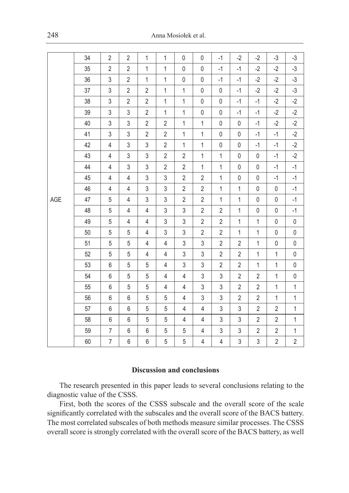|     | 34 | $\overline{2}$ | $\overline{2}$ | $\mathbf{1}$   | $\mathbf{1}$   | 0              | 0              | $-1$           | $-2$           | $-2$           | $-3$           | $-3$           |
|-----|----|----------------|----------------|----------------|----------------|----------------|----------------|----------------|----------------|----------------|----------------|----------------|
|     | 35 | $\overline{2}$ | $\mathbf{2}$   | $\mathbf{1}$   | $\mathbf{1}$   | $\mathsf{0}$   | $\pmb{0}$      | $-1$           | $-1$           | $-2$           | $-2$           | $-3$           |
|     | 36 | $\sqrt{3}$     | $\overline{2}$ | $\mathbf{1}$   | $\mathbf{1}$   | 0              | $\pmb{0}$      | $-1$           | $-1$           | $-2$           | $-2$           | $-3$           |
|     | 37 | $\mathsf 3$    | $\overline{2}$ | $\overline{2}$ | $\mathbf{1}$   | $\mathbf{1}$   | 0              | 0              | $-1$           | $-2$           | $-2$           | $-3$           |
|     | 38 | 3              | $\overline{2}$ | $\overline{2}$ | $\mathbf{1}$   | $\mathbf{1}$   | $\pmb{0}$      | $\mathsf 0$    | $-1$           | $-1$           | $-2$           | $-2$           |
|     | 39 | 3              | $\sqrt{3}$     | $\overline{2}$ | $\mathbf{1}$   | $\mathbf{1}$   | $\pmb{0}$      | 0              | $-1$           | $-1$           | $-2$           | $-2$           |
|     | 40 | $\sqrt{3}$     | 3              | $\overline{2}$ | $\overline{2}$ | $\mathbf{1}$   | $\mathbf{1}$   | 0              | $\mathsf{0}$   | $-1$           | $-2$           | $-2$           |
|     | 41 | $\sqrt{3}$     | 3              | $\overline{2}$ | $\overline{2}$ | $\mathbf{1}$   | $\mathbf 1$    | 0              | $\mathsf{0}$   | $-1$           | $-1$           | $-2$           |
|     | 42 | 4              | 3              | 3              | $\overline{2}$ | $\mathbf{1}$   | $\mathbf{1}$   | $\pmb{0}$      | $\mathsf{0}$   | $-1$           | $-1$           | $-2$           |
|     | 43 | 4              | $\sqrt{3}$     | 3              | $\overline{2}$ | $\overline{2}$ | $\mathbf 1$    | $\mathbf{1}$   | $\mathsf 0$    | $\mathbf 0$    | $-1$           | $-2$           |
|     | 44 | 4              | 3              | 3              | $\overline{2}$ | $\overline{2}$ | $\mathbf 1$    | $\mathbf{1}$   | 0              | 0              | $-1$           | $-1$           |
|     | 45 | 4              | 4              | 3              | $\mathsf 3$    | $\overline{2}$ | $\overline{2}$ | $\mathbf{1}$   | $\pmb{0}$      | 0              | $-1$           | $-1$           |
|     | 46 | $\overline{4}$ | $\overline{4}$ | $\mathfrak{Z}$ | $\mathsf 3$    | $\overline{2}$ | $\overline{2}$ | $\mathbf{1}$   | $\mathbf{1}$   | $\mathsf{0}$   | $\mathsf{0}$   | $-1$           |
| AGE | 47 | 5              | $\overline{4}$ | $\mathsf 3$    | 3              | $\overline{2}$ | $\overline{2}$ | $\mathbf{1}$   | $\mathbf{1}$   | $\mathsf{0}$   | $\pmb{0}$      | $-1$           |
|     | 48 | 5              | 4              | $\overline{4}$ | 3              | 3              | $\overline{2}$ | $\overline{2}$ | $\mathbf{1}$   | 0              | $\mathsf 0$    | $-1$           |
|     | 49 | 5              | 4              | 4              | 3              | $\mathfrak{Z}$ | $\overline{2}$ | $\overline{2}$ | $\mathbf{1}$   | $\mathbf{1}$   | $\pmb{0}$      | 0              |
|     | 50 | 5              | 5              | 4              | 3              | 3              | $\overline{2}$ | $\overline{2}$ | $\mathbf{1}$   | $\mathbf{1}$   | $\mathsf 0$    | $\mathsf{0}$   |
|     | 51 | $5\,$          | 5              | $\overline{4}$ | $\overline{4}$ | 3              | 3              | $\overline{2}$ | $\overline{2}$ | $\mathbf{1}$   | $\pmb{0}$      | $\mathsf{0}$   |
|     | 52 | 5              | 5              | 4              | 4              | 3              | 3              | $\overline{2}$ | $\overline{2}$ | $\mathbf 1$    | $\mathbf{1}$   | 0              |
|     | 53 | 6              | 5              | 5              | 4              | 3              | 3              | $\overline{2}$ | 2              | $\mathbf{1}$   | $\mathbf{1}$   | 0              |
|     | 54 | 6              | 5              | 5              | $\overline{4}$ | $\overline{4}$ | 3              | $\mathsf 3$    | $\overline{2}$ | $\overline{2}$ | $\mathbf{1}$   | $\mathsf 0$    |
|     | 55 | 6              | 5              | 5              | $\overline{4}$ | 4              | 3              | 3              | $\overline{2}$ | $\overline{2}$ | $\mathbf{1}$   | $\mathbf{1}$   |
|     | 56 | 6              | 6              | 5              | 5              | $\overline{4}$ | 3              | 3              | $\overline{2}$ | $\overline{2}$ | $\mathbf{1}$   | $\mathbf 1$    |
|     | 57 | 6              | 6              | 5              | 5              | 4              | 4              | 3              | 3              | $\overline{2}$ | $\overline{2}$ | $\mathbf{1}$   |
|     | 58 | 6              | 6              | 5              | 5              | $\overline{4}$ | 4              | 3              | 3              | $\overline{2}$ | $\overline{2}$ | $\mathbf{1}$   |
|     | 59 | $\overline{7}$ | 6              | 6              | $\sqrt{5}$     | 5              | 4              | 3              | 3              | $\sqrt{2}$     | $\overline{2}$ | $\mathbf{1}$   |
|     | 60 | $\overline{7}$ | 6              | 6              | 5              | 5              | 4              | 4              | 3              | 3              | $\overline{2}$ | $\overline{2}$ |

## **Discussion and conclusions**

The research presented in this paper leads to several conclusions relating to the diagnostic value of the CSSS.

First, both the scores of the CSSS subscale and the overall score of the scale significantly correlated with the subscales and the overall score of the BACS battery. The most correlated subscales of both methods measure similar processes. The CSSS overall score is strongly correlated with the overall score of the BACS battery, as well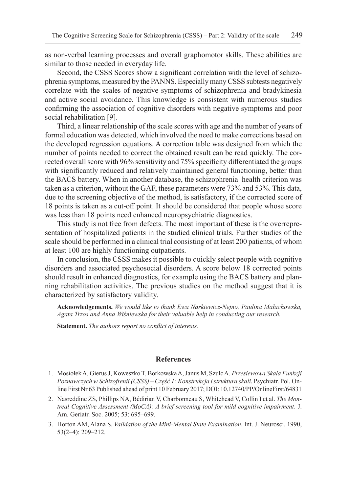as non-verbal learning processes and overall graphomotor skills. These abilities are similar to those needed in everyday life.

Second, the CSSS Scores show a significant correlation with the level of schizophrenia symptoms, measured by the PANNS. Especially many CSSS subtests negatively correlate with the scales of negative symptoms of schizophrenia and bradykinesia and active social avoidance. This knowledge is consistent with numerous studies confirming the association of cognitive disorders with negative symptoms and poor social rehabilitation [9].

Third, a linear relationship of the scale scores with age and the number of years of formal education was detected, which involved the need to make corrections based on the developed regression equations. A correction table was designed from which the number of points needed to correct the obtained result can be read quickly. The corrected overall score with 96% sensitivity and 75% specificity differentiated the groups with significantly reduced and relatively maintained general functioning, better than the BACS battery. When in another database, the schizophrenia–health criterion was taken as a criterion, without the GAF, these parameters were 73% and 53%. This data, due to the screening objective of the method, is satisfactory, if the corrected score of 18 points is taken as a cut-off point. It should be considered that people whose score was less than 18 points need enhanced neuropsychiatric diagnostics.

This study is not free from defects. The most important of these is the overrepresentation of hospitalized patients in the studied clinical trials. Further studies of the scale should be performed in a clinical trial consisting of at least 200 patients, of whom at least 100 are highly functioning outpatients.

In conclusion, the CSSS makes it possible to quickly select people with cognitive disorders and associated psychosocial disorders. A score below 18 corrected points should result in enhanced diagnostics, for example using the BACS battery and planning rehabilitation activities. The previous studies on the method suggest that it is characterized by satisfactory validity.

**Acknowledgements.** *We would like to thank Ewa Narkiewicz-Nejno, Paulina Małachowska, Agata Trzos and Anna Wiśniewska for their valuable help in conducting our research.*

**Statement.** *The authors report no conflict of interests.*

#### **References**

- 1. Mosiołek A, Gierus J, Koweszko T, Borkowska A, Janus M, Szulc A. *Przesiewowa Skala Funkcji Poznawczych w Schizofrenii (CSSS) – Część 1: Konstrukcja i struktura skali*. Psychiatr. Pol. Online First Nr 63 Published ahead of print 10 February 2017; DOI: 10.12740/PP/OnlineFirst/64831
- 2. Nasreddine ZS, Phillips NA, Bédirian V, Charbonneau S, Whitehead V, Collin I et al. *The Montreal Cognitive Assessment (MoCA): A brief screening tool for mild cognitive impairment*. J. Am. Geriatr. Soc. 2005; 53: 695–699.
- 3. Horton AM, Alana S. *Validation of the Mini-Mental State Examination*. Int. J. Neurosci. 1990, 53(2–4): 209–212.